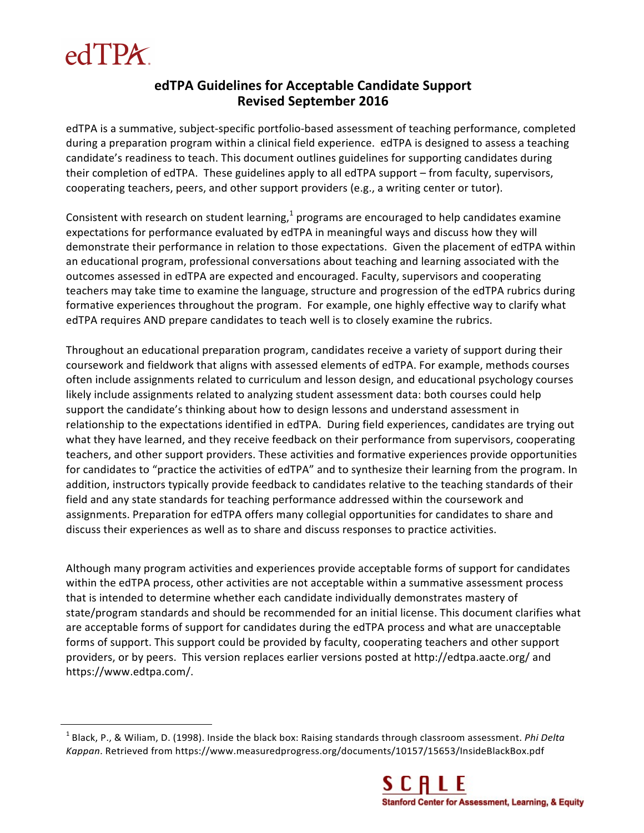

<u> 1989 - Johann Stein, marwolaethau a bh</u>

## **edTPA Guidelines for Acceptable Candidate Support Revised September 2016**

edTPA is a summative, subject-specific portfolio-based assessment of teaching performance, completed during a preparation program within a clinical field experience. edTPA is designed to assess a teaching candidate's readiness to teach. This document outlines guidelines for supporting candidates during their completion of edTPA. These guidelines apply to all edTPA support – from faculty, supervisors, cooperating teachers, peers, and other support providers (e.g., a writing center or tutor).

Consistent with research on student learning, $<sup>1</sup>$  programs are encouraged to help candidates examine</sup> expectations for performance evaluated by edTPA in meaningful ways and discuss how they will demonstrate their performance in relation to those expectations. Given the placement of edTPA within an educational program, professional conversations about teaching and learning associated with the outcomes assessed in edTPA are expected and encouraged. Faculty, supervisors and cooperating teachers may take time to examine the language, structure and progression of the edTPA rubrics during formative experiences throughout the program. For example, one highly effective way to clarify what edTPA requires AND prepare candidates to teach well is to closely examine the rubrics.

Throughout an educational preparation program, candidates receive a variety of support during their coursework and fieldwork that aligns with assessed elements of edTPA. For example, methods courses often include assignments related to curriculum and lesson design, and educational psychology courses likely include assignments related to analyzing student assessment data: both courses could help support the candidate's thinking about how to design lessons and understand assessment in relationship to the expectations identified in edTPA. During field experiences, candidates are trying out what they have learned, and they receive feedback on their performance from supervisors, cooperating teachers, and other support providers. These activities and formative experiences provide opportunities for candidates to "practice the activities of edTPA" and to synthesize their learning from the program. In addition, instructors typically provide feedback to candidates relative to the teaching standards of their field and any state standards for teaching performance addressed within the coursework and assignments. Preparation for edTPA offers many collegial opportunities for candidates to share and discuss their experiences as well as to share and discuss responses to practice activities.

Although many program activities and experiences provide acceptable forms of support for candidates within the edTPA process, other activities are not acceptable within a summative assessment process that is intended to determine whether each candidate individually demonstrates mastery of state/program standards and should be recommended for an initial license. This document clarifies what are acceptable forms of support for candidates during the edTPA process and what are unacceptable forms of support. This support could be provided by faculty, cooperating teachers and other support providers, or by peers. This version replaces earlier versions posted at http://edtpa.aacte.org/ and https://www.edtpa.com/.

<sup>&</sup>lt;sup>1</sup> Black, P., & Wiliam, D. (1998). Inside the black box: Raising standards through classroom assessment. *Phi Delta Kappan*. Retrieved from https://www.measuredprogress.org/documents/10157/15653/InsideBlackBox.pdf

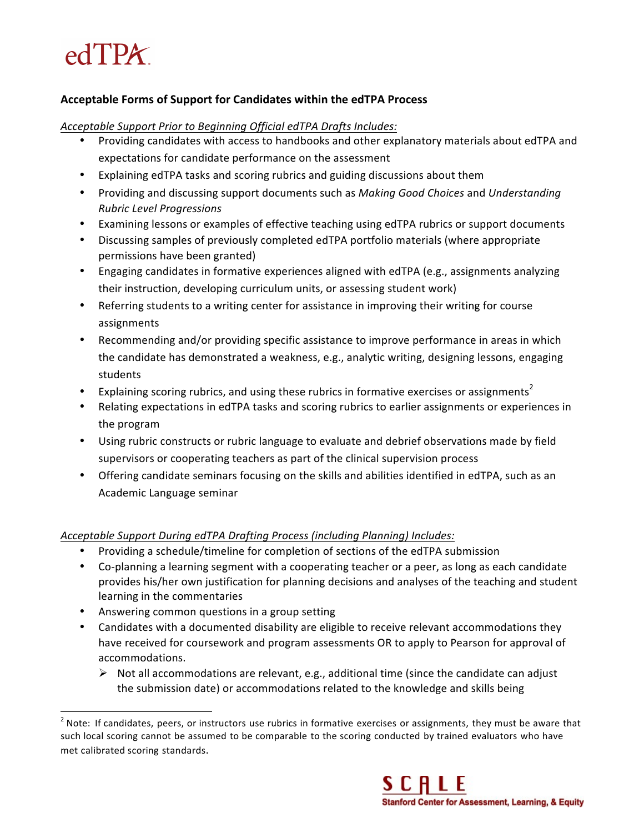# $edTPX$

## **Acceptable Forms of Support for Candidates within the edTPA Process**

#### Acceptable Support Prior to Beginning Official edTPA Drafts Includes:

- Providing candidates with access to handbooks and other explanatory materials about edTPA and expectations for candidate performance on the assessment
- Explaining edTPA tasks and scoring rubrics and guiding discussions about them
- Providing and discussing support documents such as *Making Good Choices* and *Understanding Rubric Level Progressions*
- Examining lessons or examples of effective teaching using edTPA rubrics or support documents
- Discussing samples of previously completed edTPA portfolio materials (where appropriate permissions have been granted)
- Engaging candidates in formative experiences aligned with edTPA (e.g., assignments analyzing their instruction, developing curriculum units, or assessing student work)
- Referring students to a writing center for assistance in improving their writing for course assignments
- Recommending and/or providing specific assistance to improve performance in areas in which the candidate has demonstrated a weakness, e.g., analytic writing, designing lessons, engaging students
- Explaining scoring rubrics, and using these rubrics in formative exercises or assignments<sup>2</sup>
- Relating expectations in edTPA tasks and scoring rubrics to earlier assignments or experiences in the program
- Using rubric constructs or rubric language to evaluate and debrief observations made by field supervisors or cooperating teachers as part of the clinical supervision process
- Offering candidate seminars focusing on the skills and abilities identified in edTPA, such as an Academic Language seminar

## *Acceptable Support During edTPA Drafting Process (including Planning) Includes:*

- Providing a schedule/timeline for completion of sections of the edTPA submission
- Co-planning a learning segment with a cooperating teacher or a peer, as long as each candidate provides his/her own justification for planning decisions and analyses of the teaching and student learning in the commentaries
- Answering common questions in a group setting
- Candidates with a documented disability are eligible to receive relevant accommodations they have received for coursework and program assessments OR to apply to Pearson for approval of accommodations.
	- $\triangleright$  Not all accommodations are relevant, e.g., additional time (since the candidate can adjust the submission date) or accommodations related to the knowledge and skills being

 $2$  Note: If candidates, peers, or instructors use rubrics in formative exercises or assignments, they must be aware that such local scoring cannot be assumed to be comparable to the scoring conducted by trained evaluators who have met calibrated scoring standards.